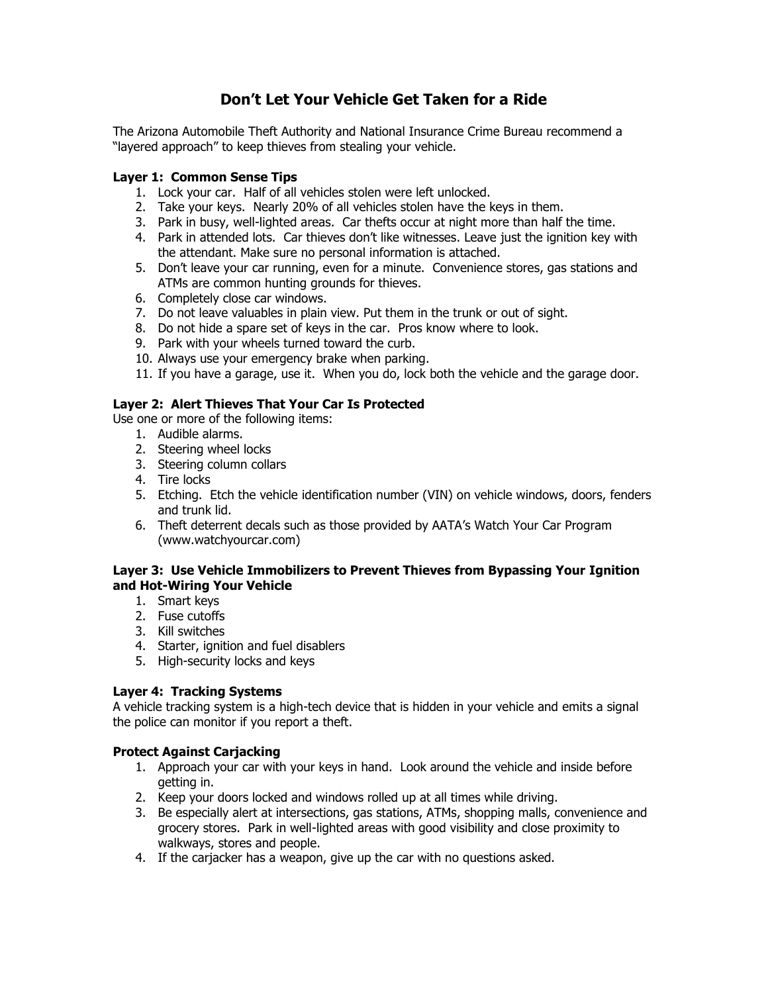# **Don't Let Your Vehicle Get Taken for a Ride**

The Arizona Automobile Theft Authority and National Insurance Crime Bureau recommend a "layered approach" to keep thieves from stealing your vehicle.

### **Layer 1: Common Sense Tips**

- 1. Lock your car. Half of all vehicles stolen were left unlocked.
- 2. Take your keys. Nearly 20% of all vehicles stolen have the keys in them.
- 3. Park in busy, well-lighted areas. Car thefts occur at night more than half the time.
- 4. Park in attended lots. Car thieves don't like witnesses. Leave just the ignition key with the attendant. Make sure no personal information is attached.
- 5. Don't leave your car running, even for a minute. Convenience stores, gas stations and ATMs are common hunting grounds for thieves.
- 6. Completely close car windows.
- 7. Do not leave valuables in plain view. Put them in the trunk or out of sight.
- 8. Do not hide a spare set of keys in the car. Pros know where to look.
- 9. Park with your wheels turned toward the curb.
- 10. Always use your emergency brake when parking.
- 11. If you have a garage, use it. When you do, lock both the vehicle and the garage door.

## **Layer 2: Alert Thieves That Your Car Is Protected**

Use one or more of the following items:

- 1. Audible alarms.
- 2. Steering wheel locks
- 3. Steering column collars
- 4. Tire locks
- 5. Etching. Etch the vehicle identification number (VIN) on vehicle windows, doors, fenders and trunk lid.
- 6. Theft deterrent decals such as those provided by AATA's Watch Your Car Program (www.watchyourcar.com)

#### **Layer 3: Use Vehicle Immobilizers to Prevent Thieves from Bypassing Your Ignition and Hot-Wiring Your Vehicle**

- 1. Smart keys
- 2. Fuse cutoffs
- 3. Kill switches
- 4. Starter, ignition and fuel disablers
- 5. High-security locks and keys

#### **Layer 4: Tracking Systems**

A vehicle tracking system is a high-tech device that is hidden in your vehicle and emits a signal the police can monitor if you report a theft.

#### **Protect Against Carjacking**

- 1. Approach your car with your keys in hand. Look around the vehicle and inside before getting in.
- 2. Keep your doors locked and windows rolled up at all times while driving.
- 3. Be especially alert at intersections, gas stations, ATMs, shopping malls, convenience and grocery stores. Park in well-lighted areas with good visibility and close proximity to walkways, stores and people.
- 4. If the carjacker has a weapon, give up the car with no questions asked.